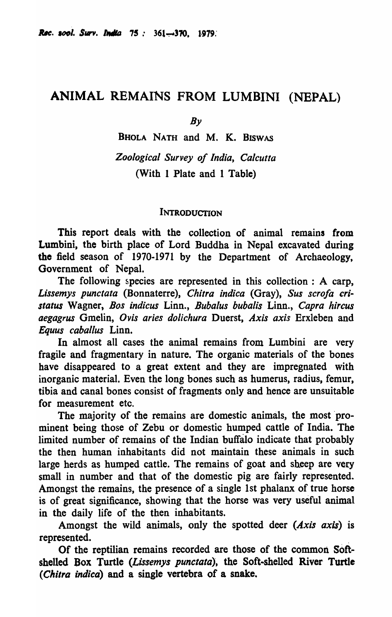# ANIMAL REMAINS FROM LUMBINI (NEPAL)

*By* 

BHOLA NATH and M. K. BISWAS *Zoological Survey of India, Calcutta*  (With 1 Plate and 1 Table)

## INTRODUCTION

This report deals with the collection of animal remains from Lumbini, the birth place of Lord Buddha in Nepal excavated during the field season of 1970-1971 by the Department of Archaeology, Government of Nepal.

The following species are represented in this collection: A carp, *Lissemys punctata* (Bonnaterre), *Chitra indica* (Gray), *Sus scrofa cristatus* Wagner, *Bos indicus* Linn., *Bubalus bubalis* Linn., *Capra hircus aegagrus* Gmelin, *Ovis aries dolichura* Duerst, *Axis axis* Erxleben and *Equus caballus* Linn.

In almost all cases the animal remains from Lumbini are very fragile and fragmentary in nature. The organic materials of the bones have disappeared to a great extent and they are impregnated with inorganic material. Even the long bones such as humerus, radius, femur, tibia and canal bones consist of fragments only and hence are unsuitable for measurement etc.

The majority of the remains are domestic animals, the most 'prominent being those of Zebu or domestic humped cattle of India. The limited number of remains of the Indian buffalo indicate that probably the then human inhabitants did not maintain these animals in such large herds as humped cattle. The remains of goat and sheep are very small in number and that of the domestic pig are fairly represented. Amongst the remains, the presence of a single 1st phalanx of true horse is of great significance, showing that the horse was very useful animal in the daily life of the then inhabitants.

Amongst the wild animals, only the spotted deer *(Axis axis)* is represented. ,

Of the reptilian remains recorded are those of the common Softshelled Box Turtle *(Lissemys punctata)*, the Soft-shelled River Turtle *(Chitra indica)* and a single vertebra of a snake.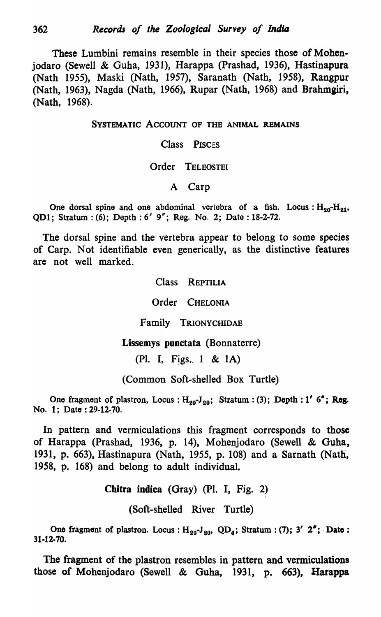These Lumbini remains resemble in their species those of Mohenjodaro (Sewell & Guha, 1931), Harappa (Prashad, 1936), Hastinapura (Nath 1955), Maski (Nath, 1957), Saranath (Nath, 1958), Rangpur (Nath, 1963), Nagda (Nath, 1966), Rupar (Nath, 1968) and Brahmgiri, (Nath, 1968).

SYSTEMATIC ACCOUNT OF THE ANIMAL REMAINS

Class PISCES

## Order TELEOSTEI

## A Carp

One dorsal spine and one abdominal vertebra of a fish. Locus:  $H_{20}-H_{21}$ , QDl; Stratum: (6); Depth: 6' 9"; Reg. No.2; Date: 18-2-72.

The dorsal spine and the vertebra appear to belong to some species of Carp. Not identifiable even generically, as the distinctive features are not well marked.

Class REPTILIA

Order CHELONIA

Family TRIONYCHIDAE

Lissemys punctata (Bonnaterre)

(Pl. I, Figs. 1 &  $1$ A)

(Common Soft-shelled Box Turtle)

One fragment of plastron, Locus :  $H_{20}J_{20}$ ; Stratum : (3); Depth : 1' 6"; Reg. No. 1; Date: 29-12-70.

In pattern and vermiculations this fragment corresponds to those of Harappa (Prashad, 1936, p. 14), Mohenjodaro (Sewell & Guha, 1931, p. 663), Hastinapura (Nath, 1955, p. 108) and a Sarnath (Nath, 1958, p. 168) and belong to adult individual.

Chitra indica (Gray) (PI. I, Fig. 2)

(Soft-shelled River Turtle)

One fragment of plastron. Locus:  $H_{20}J_{20}$ , QD<sub>4</sub>; Stratum: (7); 3' 2"; Date: 31.-12·70.

The fragment of the plastron resembles in pattern and vermiculations those of Mohenjodaro (Sewell & Guha, 1931, p. 663), Harappa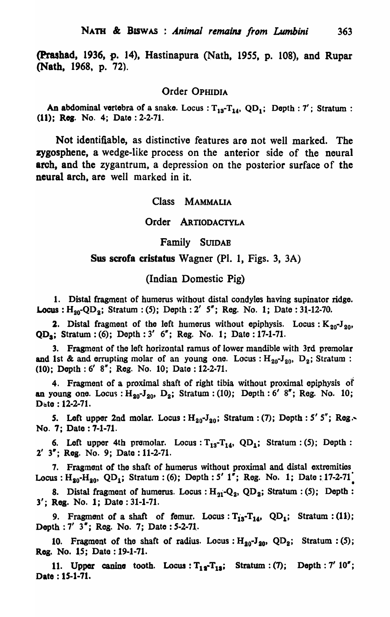(Prashad. 1936, p. 14), Hastinapura (Nath, 1955, p. 108), and Rupar (Natb. 1968, p. 72).

## Order OPHIDIA

An abdominal vertebra of a snake. Locus :  $T_{13}-T_{14}$ ,  $QD_1$ ; Depth: 7'; Stratum : (11); Reg. No. 4; Date: 2-2-71.

Not identifiable, as distinctive features are not well marked. The zygosphene, a wedge-like process on the anterior side of the neural arch, and the zygantrum, a depression on the posterior surface of the neural arch, are well marked in it.

#### Class MAMMALIA

#### Order ARTIODACTYLA

## Family SUIDAB

## Sus scrofa cristatus Wagner (Pl. 1, Figs. 3, 3A)

## (Indian Domestic Pig)

1. Distal fragment of humerus without distal condyles having supinator ridge. **Locus**:  $H_{20}$ -QD<sub>2</sub>; Stratum: (5); Depth: 2' 5"; Reg. No. 1; Date: 31-12-70.

2. Distal fragment of the left humerus without epiphysis. Locus:  $K_{20}J_{20}$ ,  $QD_s$ ; Stratum: (6); Depth: 3' 6"; Reg. No. 1; Date: 17-1-71.

3. Fragment of the left horizontal ramus of lower mandible with 3rd premolar and 1st & and errupting molar of an young one. Locus:  $H_{20}$ -J<sub>20</sub>, D<sub>2</sub>; Stratum: (10); Depth: 6' 8"; Reg. No. 10; Date: 12-2-71.

4. Fragment of a proximal shaft of right tibia without proximal epiphysis *at*  an young one. Locus :  $H_{20}$ -J<sub>20</sub>, D<sub>2</sub>; Stratum: (10); Depth: 6' 8"; Reg. No. 10; Date: 12-2-71.

5. Left upper 2nd molar. Locus:  $H_{20}$ -J<sub>20</sub>; Stratum: (7); Depth: 5' 5"; Reg. No.7; Date: 7-1-71.

6. Left upper 4th premolar. Locus:  $T_{13}-T_{14}$ , QD<sub>1</sub>; Stratum: (5); Depth: 2' 3"; Reg. No. 9; Date: 11-2-71.

7. Fragmant of the shaft of humerus without proximal and distal extremities Locus :  $H_{20} - H_{20}$ , QD<sub>1</sub>; Stratum : (6); Depth: 5' 1"; Reg. No. 1; Date : 17-2-71.

8. Distal fragment of humerus. Locus:  $H_{21}-Q_2$ ,  $QD_2$ ; Stratum: (5); Depth: 3'; Reg. No. 1; Date: 31-1-71.

9. Fragment of a shaft of femur. Locus:  $T_{13}$ - $T_{14}$ , QD<sub>1</sub>; Stratum: (11); Depth : 7' 3"; Reg. No. 7; Date : 5-2-71.

10. Fragment of the shaft of radius. Locus:  $H_{20}$ - $J_{20}$ , QD<sub>2</sub>; Stratum: (5); Reg. No. 15; Date: 19-1-71.

11. Upper canine tooth. Locus:  $T_{12}-T_{13}$ ; Stratum: (7); Depth: 7' 10"; Date: IS-1-71.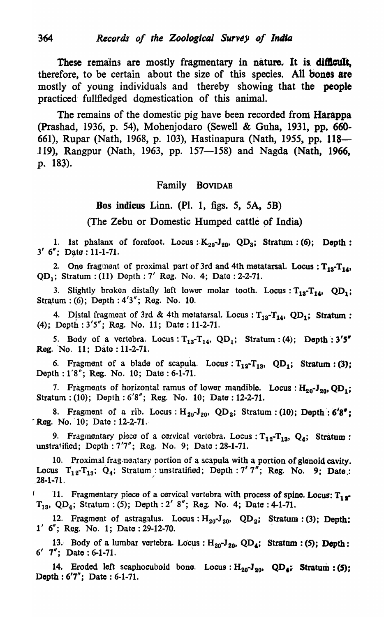These remains are mostly fragmentary in nature. It is difficult, therefore, to be certain about the size of this species. All bones are mostly of young individuals and thereby showing that the people practiced fullfledged domestication of this animal.

The remains of the domestic pig have been recorded from Harappa (prashad, 1936, p. 54), Mohenjodaro (Sewell & Guha, 1931, pp. 660- 661), Rupar (Nath, 1968, p. 103), Hastinapura (Nath, 1955, pp. 118— 119), Rangpur (Nath, 1963, pp. 157—158) and Nagda (Nath, 1966, p. 183).

## Family BOVIDAE

## Dos indicus Linn. (PI. 1, figs. 5, SA, 5B)

(The Zebu or Domestic Humped cattle of India)

1. 1st phalanx of forefoot. Locus :  $K_{20}$ -J<sub>20</sub>, QD<sub>3</sub>; Stratum: (6); Depth:  $3'$  6"; Date: 11-1-71.

2. One fragment of proximal part of 3rd and 4th metatarsal. Locus :  $T_{13}-T_{14}$ ,  $QD_1$ ; Stratum: (11) Depth: 7' Reg. No. 4; Date: 2-2-71.

3. Slightly broken distally left lower molar tooth. Locus:  $T_{13}-T_{14}$ ,  $QD_1$ ; Stratum: (6); Depth: 4'3"; Reg. No. 10.

4. Distal fragment of 3rd & 4th motatarsal. Locus:  $T_{13}-T_{14}$ , QD<sub>1</sub>; Stratum: (4); Depth: 3'5"; Reg. No. 11; Date: 11-2-71.

5. Body of a vertebra. Locus:  $T_{13}-T_{14}$ ,  $QD_1$ ; Stratum: (4); Depth: 3'5" Reg. No. 11; Date: 11-2-71.

6. Fragment of a blade of scapula. Locus:  $T_{12}-T_{13}$ , QD<sub>1</sub>; Stratum: (3); Depth: 1'8"; Reg. No. 10; Date: 6-1-71.

7. Fragments of horizontal ramus of lower mandible. Locus:  $H_{20}$ -J<sub>20</sub>, QD<sub>1</sub>; Stratum: (10); Depth: 6'8"; Reg. No. 10; Date: 12-2-71.

8. Fragment of a rib. Locus:  $H_{20}J_{20}$ , QD<sub>2</sub>; Stratum: (10); Depth : 6'8";  $k$  Reg. No. 10; Date : 12-2-71.

9. Fragmentary piece of a cervical vertebra. Locus:  $T_{12}-T_{13}$ ,  $Q_4$ ; Stratum: unstratified; Depth: 7'7"; Reg. No. 9; Date: 28-1-71.

10. Proximal frag·nontary portion of a scapula with a portion of glenoid cavity. Locus  $T_{12}-T_{13}$ ;  $Q_4$ ; Stratum: unstratified; Depth: 7' 7"; Reg. No. 9; Date,:  $28-1-71$ .

11. Fragmentary piece of a cervical vertebra with process of spine. Locus:  $T_{12}$  $T_{13}$ , QD<sub>4</sub>; Stratum: (5); Depth: 2' 8"; Reg. No. 4; Date: 4-1-71.

12. Fragment of astragalus. Locus:  $H_{20}J_{20}$ , QD<sub>2</sub>; Stratum: (3); Depth: l' 6"; Reg. No.1; Date: 29-12-70. .

13. Body of a lumbar vertebra. Locus :  $H_{20}$ -J<sub>20</sub>, QD<sub>4</sub>; Stratum: (5); Depth:  $6'$   $7''$ ; Date:  $6-1-71$ .

14. Eroded left scaphocuboid bone. Locus:  $H_{20} - J_{20}$ , QD<sub>4</sub>; Stratum: (5); Depth: 6'7"; Date: 6-1-71.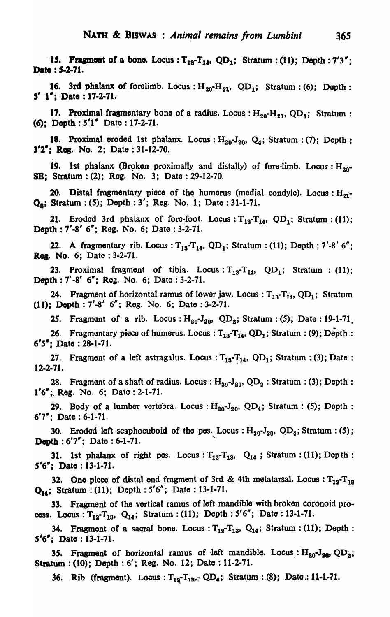15. Fragment of a bone. Locus:  $T_{13}-T_{14}$ , QD<sub>1</sub>; Stratum: (11); Depth: 7'3"; Date : 5-2-71.

16. 3rd phalanx of forelimb. Locus:  $H_{20}-H_{21}$ , QD<sub>1</sub>; Stratum: (6); Depth:  $5'$  1": Date : 17-2-71.

17. Proximal fragmentary bone of a radius. Locus:  $H_{20} - H_{21}$ , QD<sub>1</sub>; Stratum: «(;); Depth: *5'1"* Date: 17-2-71.

18. Proximal eroded 1st phalanx. Locus:  $H_{20}J_{20}$ ,  $Q_4$ ; Stratum: (7); Depth: 3'2': Res. No.2; Date: 31-12-70.

19. 1st phalanx (Broken proximally and distally) of fore-limb. Locus:  $H_{20}$ -SB: Stratum: (2); Reg. No. 3; Date: 29-12-70.

20. Distal fragmentary piece of the humerus (medial condyle). Locus: H<sub>21</sub>-<br>Q.: Stratum: *(5)*; Depth: 3'; Reg. No. 1; Date: 31-1-71.

21. Eroded 3rd phalanx of fore-foot. Locus:  $T_{13}-T_{14}$ , QD<sub>1</sub>; Stratum: (11); Dopth : 7'-8' 6"; Reg. No. 6; Date: 3-2-71.

22. A fragmentary rib. Locus:  $T_{13}$ - $T_{14}$ , QD<sub>1</sub>; Stratum: (11); Depth: 7'-8' 6"; Reg. No. 6; Date: 3-2-71.

**23. Proximal fragment of tibia. Locus:**  $T_{13}-T_{14}$ ,  $QD_1$ ; Stratum : (11); Depth : 7'-8' 6"; Reg. No. 6; Date: 3-2-71.

24. Fragment of horizontal ramus of lower jaw. Locus:  $T_{13}-T_{14}$ , QD<sub>1</sub>; Stratum (11): Depth: 7'-8' 6"; Rog. No.6; Date: 3-2-71.

**25.** Fragment of a rib. Locus:  $H_{20}$ -J<sub>20</sub>, QD<sub>2</sub>; Stratum: (5); Date: 19-1-71.

26. Fragmontary piece of humerus. Locus:  $T_{13}-T_{14}$ , QD<sub>1</sub>; Stratum: (9); Depth : *6'5-:* Data: 28-1-71.

27. Fragment of a left astragalus. Locus :  $T_{13}-T_{14}$ , QD<sub>1</sub>; Stratum : (3); Date : 12-2-71.

28. Fragment of a shaft of radius. Locus:  $H_{20}$ -J<sub>20</sub>, QD<sub>2</sub>: Stratum: (3); Depth:  $1'6'$ ; Reg. No. 6; Date: 2-1-71.

29. Body of a lumber vortebra. Locus:  $H_{20}$ -J<sub>20</sub>, QD<sub>4</sub>; Stratum: (5); Depth:  $6'7'$ : Date:  $6-1-71$ .

30. Eroded left scaphocuboid of the pes. Locus:  $H_{20}$ -J<sub>20</sub>, QD<sub>4</sub>; Stratum: (5); Depth :  $6'7''$ ; Date:  $6-1-71$ .

31. 1st phalanx of right pes. Locus:  $T_{12}-T_{13}$ ,  $Q_{14}$ ; Stratum: (11); Depth: *S'6-;* Data: 13-1-71.

32. One piece of distal end fragment of 3rd & 4th metatarsal. Locus :  $T_{12}-T_{13}$ Q<sub>14</sub>; Stratum: (11); Depth: 5'6"; Date: 13-1-71.

33. Fragment of the vertical ramus of left mandible with broken coronoid process. Locus: T<sub>12</sub>-T<sub>13</sub>, Q<sub>14</sub>; Stratum: (11); Depth: 5'6"; Date: 13-1-71.

34. Fragment of a sacral bone. Locus:  $T_{12}-T_{13}$ ,  $Q_{14}$ ; Stratum: (11); Depth:  $5'6'$ : Date: 13-1-71.

35. Fragment of horizontal ramus of left mandible. Locus:  $H_{20}J_{20}QD_2$ ; Stratum: (10); Depth: 6'; Reg. No. 12; Date: 11-2-71.

36. Rib (fragment). Locus:  $T_{12}-T_{13}$ , QD<sub>4</sub>; Stratum: (8); Date.: 11-1-71.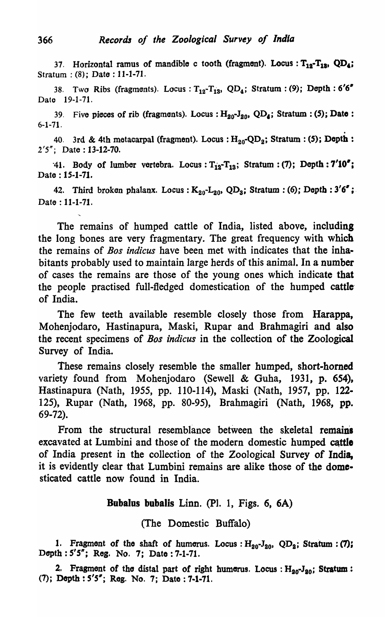37. Horizontal ramus of mandible c tooth (fragment). Locus:  $T_{12}-T_{13}$ , QD<sub>4</sub>; Stratum: (8); Date: 11-1-71.

38. Two Ribs (fragments). Locus:  $T_{12}-T_{13}$ , QD<sub>4</sub>; Stratum: (9); Depth: 6'6" Date 19-1-71.

39. Five pieces of rib (fragments). Locus: H<sub>20</sub>-J<sub>20</sub>, QD<sub>4</sub>; Stratum: (5); Date:

6-1-71.<br>40. 3rd & 4th metacarpal (fragment). Locus:  $H_{20}$ -QD<sub>2</sub>; Stratum: **(5); Depth:** 2'5"; Date: 13-12-70.

41. Body of lumber vertebra. Locus:  $T_{12}$ - $T_{13}$ ; Stratum: (7); Depth: 7'10"; Date: 15-1-71.

42. Third broken phalanx. Locus:  $K_{20}$ - $L_{20}$ , QD<sub>3</sub>; Stratum: (6); Depth: 3'6"; Date: 11-1-71.

The remains of humped cattle of India, listed above, including the long bones are very fragmentary. The great frequency with which the remains of *Bos indicus* have been met with indicates that the inhabitants probably used to maintain large herds of this animal. In a number of cases the remains are those of the young ones which indicate that the people practised full-fledged domestication of the humped cattle' of India.

The few teeth available resemble closely those from Harappa, Mohenjodaro, Hastinapura, Maski, Rupar and Brabmagiri and also the recent specimens of *Bos indicus* in the collection of the Zoological Survey of India.

These remains closely resemble the smaller humped, short-homed variety found from Mohenjodaro (Sewell & Guha, 1931, p. 654). Hastinapura (Nath, 1955, pp. 110-114), Maski (Nath, 1957, pp. 122· 125), Rupar (Nath, 1968, pp. 80-95), Brabmagiri (Nath, 1968, pp. 69-72).

From the structural resemblance between the skeletal remains excavated at Lumbini and those of the modern domestic humped cattle of India present in the collection of the Zoological Survey of India, it is evidently clear that Lumbini remains are alike those of the domesticated cattle now found in India.

## Bubalus bubalis Linn. (PI. 1, Figs. 6, 6A)

(The Domestic Buffalo)

1. Fragmont of the shaft of humerus. Locus:  $H_{20}$ -J<sub>20</sub>, QD<sub>2</sub>; Stratum: (7); Depth: *S'S";* Rog. No.7; Date: 7·1·71.

2. Fragment of the distal part of right humerus. Locus:  $H_{20}$ -J<sub>20</sub>; Stratum: (7); Depth: *S'S";* Reg. No.7; Date: 7-1-71.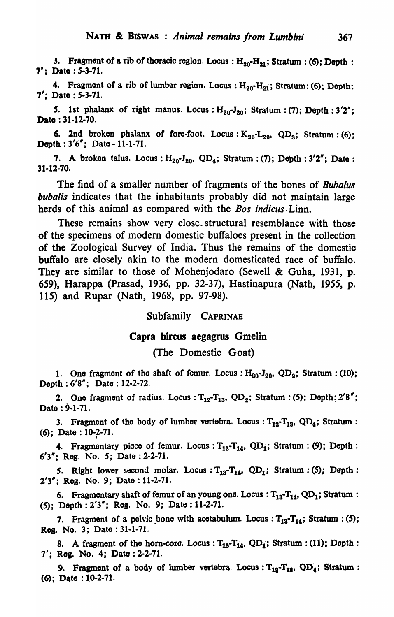**J.** Fragment of a rib of thoracic region. Locus:  $H_{20}-H_{21}$ ; Stratum: (6); Depth: 7; Date: 5-3-71.

4. Fragment of a rib of lumber region. Locus:  $H_{20} - H_{21}$ ; Stratum: (6); Depth: 7' i Date: *S-3-71.* 

5. 1st phalanx of right manus. Locus:  $H_{20}$ -J<sub>20</sub>; Stratum: (7); Depth: 3'2"; Dato : 31-12-70.

6. 2nd broken phalanx of fore-foot. Locus:  $K_{20}$ -L<sub>20</sub>, QD<sub>3</sub>; Stratum: (6); Depth:  $3'6''$ ; Date - 11-1-71.

7. A broken talus. Locus:  $H_{20}J_{20}$ , QD<sub>4</sub>; Stratum: (7); Depth: 3'2"; Date: 31-12-70.

The find of a smaller number of fragments of the bones of *Bubalus bubalis* indicates that the inhabitants probably did not maintain large herds of this animal as compared with the *Bos indicus* Linn.

These remains show very close structural resemblance with those of the specimens of modern domestic buffaloes present in the collection of the Zoological Survey of India. Thus the remains of the domestic buffalo are closely akin to the modern domesticated race of buffalo. They are similar to those of Mohenjodaro (Sewell & Guha, 1931, p. 659), Harappa (Prasad, 1936, pp. 32-37), Hastinapura (Nath, 1955, p. 115) and Rupar (Nath, 1968, pp. 97-98).

Subfamily CAPRINAB

### Capra bireus aegagrus Gmelin

(The Domestic Goat)

1. One fragment of the shaft of femur. Locus:  $H_{20}$ -J<sub>20</sub>, QD<sub>2</sub>; Stratum: (10); Depth: 6'8"; Date: 12-2-72.

2. One fragment of radius. Locus:  $T_{12} - T_{13}$ , QD<sub>2</sub>; Stratum: (5); Depth: 2'8"; Date: 9-1-71.

3. Fragment of the body of lumber vertebra. Locus:  $T_{12}-T_{13}$ , QD<sub>4</sub>; Stratum: (6); Date:  $10-2-71$ .

4. Fragmentary piece of femur. Locus :  $T_{13}$ - $T_{14}$ , QD<sub>1</sub>; Stratum : (9); Depth : *6'3w;* Reg. *No.5;* Date: 2-2-71.

5. Right lower second molar. Locus:  $T_{13}-T_{14}$ , QD<sub>1</sub>; Stratum: (5); Depth: *2'3w;* Reg. No.9; Date: 11-2-71.

6. Fragmentary shaft of femur of an young one. Locus :  $T_{13}-T_{14}$ , QD<sub>1</sub>; Stratum : (5); Depth: *2'3w;* Reg. No.9; Date: 11-2-71.

7. Fragment of a pelvic bone with acetabulum. Locus:  $T_{13}-T_{14}$ ; Stratum: (5); Reg. No.3; Date: 31-1-71.

8. A fragment of the horn-core. Locus:  $T_{13}$ - $T_{14}$ , QD<sub>1</sub>; Stratum: (11); Depth: 7'; Rag. No.4; Dato :2-2-71.

9. Fragment of a body of lumber vertebra. Locus:  $T_{12}-T_{13}$ , QD<sub>4</sub>; Stratum :  $(6)$ ; Date: 10-2-71.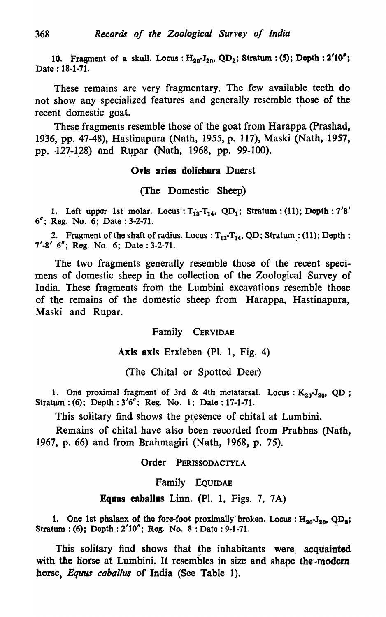10. Fragment of a skull. Locus:  $H_{20}$ -J<sub>20</sub>, QD<sub>2</sub>; Stratum: (5); Depth: 2'10"; Date: 18-1-71.

These remains are very fragmentary. The few available teeth do not show any specialized features and generally resemble those of the recent domestic goat.

These fragments resemble those of the goat from Harappa (Prashad, 1936, pp. 47-48), Hastinapura (Nath, 1955, p. 117), Maski (Nath, 1957, pp. 127-128) and Rupar (Nath, 1968, pp. 99-100).

## Ovis aries dolichura Duerst

(The Domestic Sheep)

1. Left upper 1st molar. Locus:  $T_{13} - T_{14}$ , QD<sub>1</sub>; Stratum: (11); Depth: 7'8' 6"; Reg. No.6; Date: 3-2-71.

2. Fragment of the shaft of radius. Locus:  $T_{13}-T_{14}$ , QD; Stratum: (11); Depth: 7'-8' 6"; Reg. No. 6; Date: 3-2-71.

The two fragments generally resemble those of the recent specimens of domestic sheep in the collection of the Zoological Survey of India. These fragments from the Lumbini excavations resemble those of the remains of the domestic sheep from Harappa, Hastinapura, Maski and Rupar.

Family CERVIDAE

Axis axis Erxleben (PI. 1, Fig. 4)

(The Chital or Spotted Deer)

1. One proximal fragment of 3rd & 4th metatarsal. Locus:  $K_{20}$ -J<sub>20</sub>, QD; Stratum: (6); Depth: 3'6"; Reg. No. 1; Date: 17-1-71.

This solitary find shows the presence of chital at Lumbini.

Remains of chital have also been recorded from Prabhas (Nath, 1967, p. 66) and from Brahmagiri (Nath, 1968, p. 75).

Order PERISSODACTYLA

Family EQUIDAE

Equus caballus Linn. (PI. 1, Figs. 7, 7A)

1. One 1st phalanx of the fore-foot proximally broken. Locus :  $H_{20}$ -J<sub>20</sub>, QD<sub>2</sub>; Stratum: (6); Depth: 2'10"; Reg. No. 8: Date: 9-1-71.

This solitary find shows that the inhabitants were acquainted with the horse at Lumbini. It resembles in size and shape the-modern horse, *Equus cabal/us* of India (See Table 1).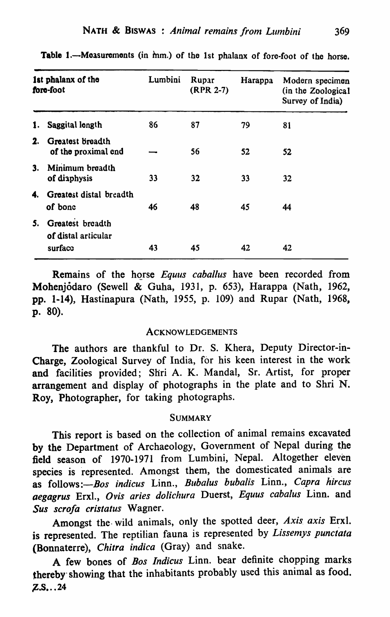| 1st phalanx of the<br>fore-foot |                                                    | Lumbini | Rupar<br>(RPR 2-7) | Harappa | Modern specimen<br>(in the Zoological<br>Survey of India) |
|---------------------------------|----------------------------------------------------|---------|--------------------|---------|-----------------------------------------------------------|
| 1.                              | Saggital length                                    | 86      | 87                 | 79      | 81                                                        |
| 2.                              | Greatest Breadth<br>of the proximal end            |         | 56                 | 52      | 52                                                        |
| 3.                              | Minimum breadth<br>of diaphysis                    | 33      | 32                 | 33      | 32                                                        |
| 4.                              | <b>Greatest distal breadth</b><br>of bone          | 46      | 48                 | 45      | 44                                                        |
| 5.                              | Greatest breadth<br>of distal articular<br>surfacc | 43      | 45                 | 42      | 42                                                        |

Table 1.-Measurements (in hm.) of the 1st phalanx of fore-foot of the horse.

Remains of the horse *Equus caballus* have been recorded from Mohenjodaro (Sewell & Guha, 1931, p. 653), Harappa (Nath, 1962, pp. 1-14), Hastinap'ura (Nath, 1955, p. 109) and Rupar (Nath, 1968, p. 80).

#### **ACKNOWLEDGEMENTS**

The authors are thankful to Dr. S. Khera, Deputy Director-in-Charge, Zoological Survey of India, for his keen interest in the work and facilities provided; Shri A. K. Mandal, Sr. Artist, for proper arrangement and display of photographs in the plate and to Shri N. Roy, Photographer, for taking photographs.

#### **SUMMARY**

This report is based on the collection of animal remains excavated by the Department of Archaeology, Government of Nepal during the field season of 1970-1971 from Lumbini, Nepal. Altogether eleven species is represented. Amongst them, the domesticated animals are as follows:-*Bos indicus* Linn., *Bubalus bubalis* Linn., *Capra hircus aegagrus* Erxl., *Ovis aries dolichura* Duerst, *Equus cabalus* Linn. and *Sus scrofa cristatus* Wagner.

Amongst the· wild animals, only the spotted deer, *Axis. axis* Erxl. is represented. The reptilian fauna is represented by *Lissemys punctata* (Bonnaterre), *Chitra indica* (Gray) and snake.

A few bones of *Bos Indicus* Linn. bear definite chopping marks thereby showing that the inhabitants probably used this animal as food.  $Z.S.$ .. 24